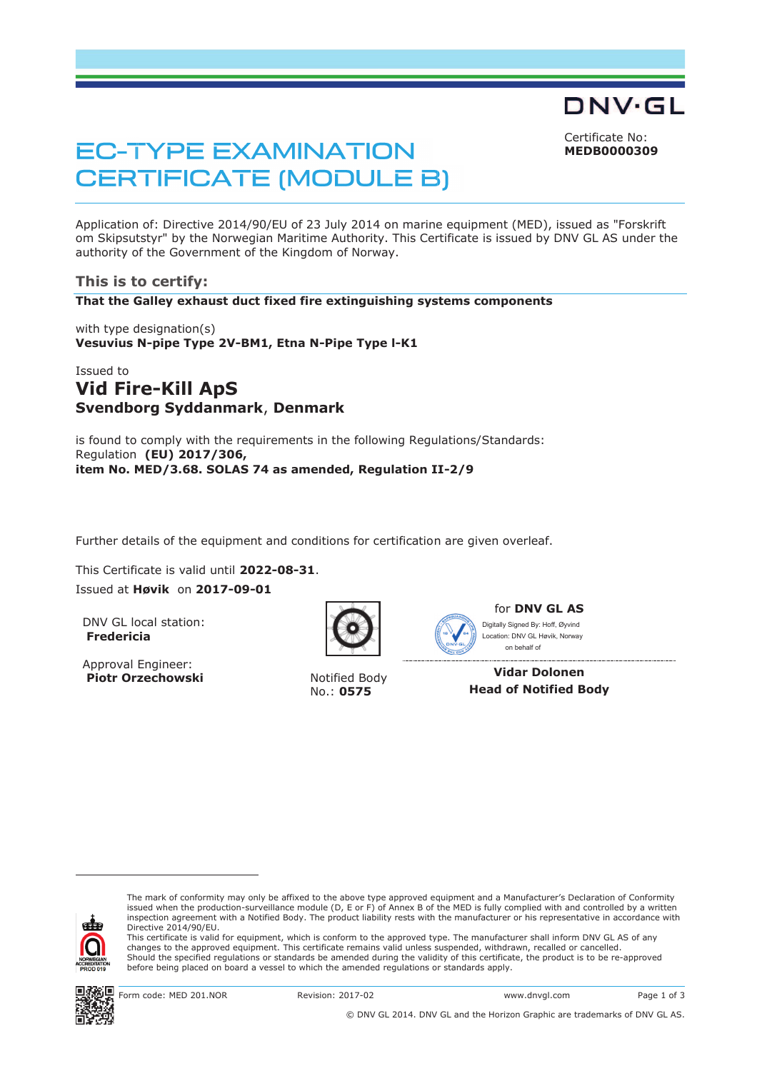Certificate No: **MEDB0000309**

DNV·GL

# **EC-TYPE EXAMINATION CERTIFICATE (MODULE B)**

Application of: Directive 2014/90/EU of 23 July 2014 on marine equipment (MED), issued as "Forskrift om Skipsutstyr" by the Norwegian Maritime Authority. This Certificate is issued by DNV GL AS under the authority of the Government of the Kingdom of Norway.

## **This is to certify:**

**That the Galley exhaust duct fixed fire extinguishing systems components**

with type designation(s) **Vesuvius N-pipe Type 2V-BM1, Etna N-Pipe Type l-K1**

# Issued to **Vid Fire-Kill ApS Svendborg Syddanmark**, **Denmark**

is found to comply with the requirements in the following Regulations/Standards: Regulation **(EU) 2017/306, item No. MED/3.68. SOLAS 74 as amended, Regulation II-2/9** 

Further details of the equipment and conditions for certification are given overleaf.

... This Certificate is valid until **2022-08-31**.

Issued at **Høvik** on **2017-09-01**

DNV GL local station: **Fredericia**

Approval Engineer: **Piotr Orzechowski** Notified Body



No.: **0575**



for **DNV GL AS** Ì, Digitally Signed By: Hoff, Øyvind Location: DNV GL Høvik, Norway on behalf of

**Vidar Dolonen Head of Notified Body** 



-

The mark of conformity may only be affixed to the above type approved equipment and a Manufacturer's Declaration of Conformity issued when the production-surveillance module (D, E or F) of Annex B of the MED is fully complied with and controlled by a written inspection agreement with a Notified Body. The product liability rests with the manufacturer or his representative in accordance with Directive 2014/90/EU.

This certificate is valid for equipment, which is conform to the approved type. The manufacturer shall inform DNV GL AS of any changes to the approved equipment. This certificate remains valid unless suspended, withdrawn, recalled or cancelled. Should the specified regulations or standards be amended during the validity of this certificate, the product is to be re-approved before being placed on board a vessel to which the amended regulations or standards apply.



Form code: MED 201.NOR Revision: 2017-02 www.dnvgl.com Page 1 of 3

© DNV GL 2014. DNV GL and the Horizon Graphic are trademarks of DNV GL AS.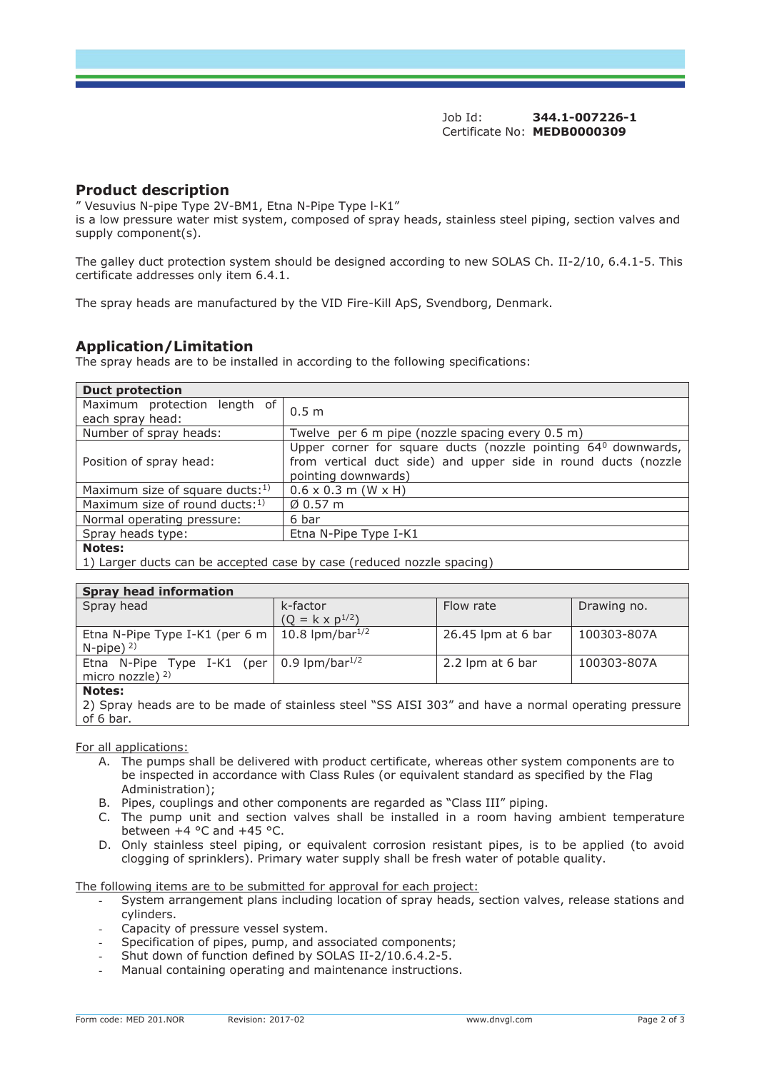## **Product description**

" Vesuvius N-pipe Type 2V-BM1, Etna N-Pipe Type l-K1"

is a low pressure water mist system, composed of spray heads, stainless steel piping, section valves and supply component(s).

The galley duct protection system should be designed according to new SOLAS Ch. II-2/10, 6.4.1-5. This certificate addresses only item 6.4.1.

The spray heads are manufactured by the VID Fire-Kill ApS, Svendborg, Denmark.

# **Application/Limitation**

The spray heads are to be installed in according to the following specifications:

| <b>Duct protection</b>                           |                                                                                                                                                                    |  |  |
|--------------------------------------------------|--------------------------------------------------------------------------------------------------------------------------------------------------------------------|--|--|
| Maximum protection length of<br>each spray head: | 0.5 m                                                                                                                                                              |  |  |
| Number of spray heads:                           | Twelve per 6 m pipe (nozzle spacing every 0.5 m)                                                                                                                   |  |  |
| Position of spray head:                          | Upper corner for square ducts (nozzle pointing 64 <sup>0</sup> downwards,<br>from vertical duct side) and upper side in round ducts (nozzle<br>pointing downwards) |  |  |
| Maximum size of square ducts: $1$ )              | $0.6 \times 0.3$ m (W $\times$ H)                                                                                                                                  |  |  |
| Maximum size of round ducts: $1$ )               | $\emptyset$ 0.57 m                                                                                                                                                 |  |  |
| Normal operating pressure:                       | 6 bar                                                                                                                                                              |  |  |
| Spray heads type:                                | Etna N-Pipe Type I-K1                                                                                                                                              |  |  |
| <b>Notes:</b>                                    |                                                                                                                                                                    |  |  |

1) Larger ducts can be accepted case by case (reduced nozzle spacing)

#### **Spray head information**

| <b>Primerican international</b>                                                          |                                      |                    |             |  |
|------------------------------------------------------------------------------------------|--------------------------------------|--------------------|-------------|--|
| Spray head                                                                               | k-factor<br>$(Q = k \times p^{1/2})$ | Flow rate          | Drawing no. |  |
| Etna N-Pipe Type I-K1 (per 6 m   10.8 lpm/bar <sup>1/2</sup><br>$N$ -pipe) <sup>2)</sup> |                                      | 26.45 lpm at 6 bar | 100303-807A |  |
| Etna N-Pipe Type I-K1 (per $\vert$ 0.9 lpm/bar <sup>1/2</sup><br>micro nozzle) $2$ )     |                                      | 2.2 lpm at 6 bar   | 100303-807A |  |
| <b>Notes:</b>                                                                            |                                      |                    |             |  |

2) Spray heads are to be made of stainless steel "SS AISI 303" and have a normal operating pressure of 6 bar.

For all applications:

- A. The pumps shall be delivered with product certificate, whereas other system components are to be inspected in accordance with Class Rules (or equivalent standard as specified by the Flag Administration);
- B. Pipes, couplings and other components are regarded as "Class III" piping.
- C. The pump unit and section valves shall be installed in a room having ambient temperature between  $+4$  °C and  $+45$  °C.
- D. Only stainless steel piping, or equivalent corrosion resistant pipes, is to be applied (to avoid clogging of sprinklers). Primary water supply shall be fresh water of potable quality.

The following items are to be submitted for approval for each project:

- System arrangement plans including location of spray heads, section valves, release stations and cylinders.
- Capacity of pressure vessel system.
- Specification of pipes, pump, and associated components;
- Shut down of function defined by SOLAS II-2/10.6.4.2-5.
- Manual containing operating and maintenance instructions.